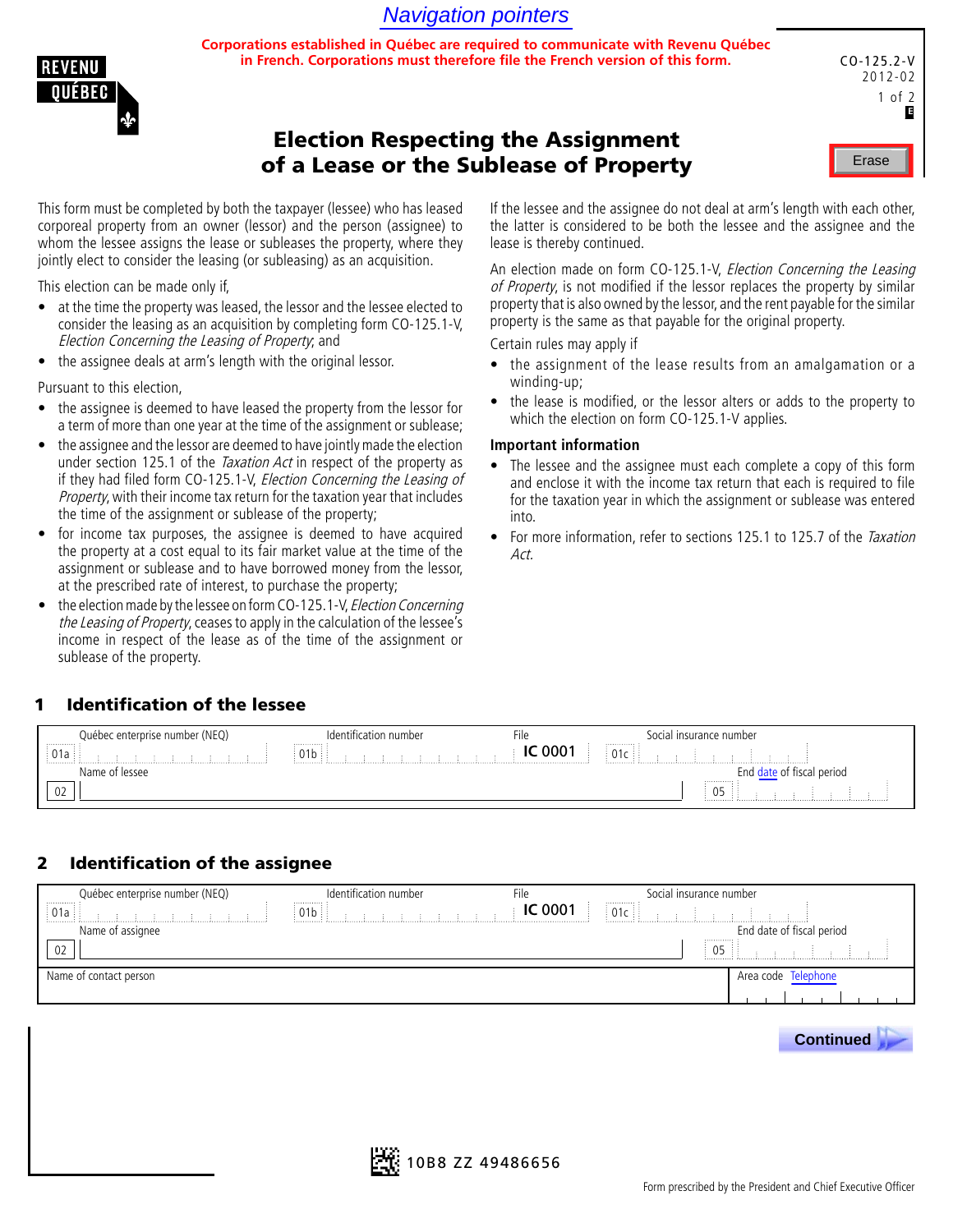# Navigation pointers

**Corporations established in Québec are required to communicate with Revenu Québec in French. Corporations must therefore file the French version of this form.**



| C0-125.2-V<br>$2012 - 02$<br>1 of 2<br>E |
|------------------------------------------|
| Erase                                    |

# Election Respecting the Assignment of a Lease or the Sublease of Property

This form must be completed by both the taxpayer (lessee) who has leased corporeal property from an owner (lessor) and the person (assignee) to whom the lessee assigns the lease or subleases the property, where they jointly elect to consider the leasing (or subleasing) as an acquisition.

This election can be made only if,

- at the time the property was leased, the lessor and the lessee elected to consider the leasing as an acquisition by completing form CO-125.1-V, Election Concerning the Leasing of Property; and
- the assignee deals at arm's length with the original lessor.

Pursuant to this election,

- the assignee is deemed to have leased the property from the lessor for a term of more than one year at the time of the assignment or sublease;
- the assignee and the lessor are deemed to have jointly made the election under section 125.1 of the *Taxation Act* in respect of the property as if they had filed form CO-125.1-V, Election Concerning the Leasing of Property, with their income tax return for the taxation year that includes the time of the assignment or sublease of the property;
- for income tax purposes, the assignee is deemed to have acquired the property at a cost equal to its fair market value at the time of the assignment or sublease and to have borrowed money from the lessor, at the prescribed rate of interest, to purchase the property;
- the election made by the lessee on form CO-125.1-V, Election Concerning the Leasing of Property, ceases to apply in the calculation of the lessee's income in respect of the lease as of the time of the assignment or sublease of the property.

If the lessee and the assignee do not deal at arm's length with each other, the latter is considered to be both the lessee and the assignee and the lease is thereby continued.

An election made on form CO-125.1-V, *Election Concerning the Leasing* of Property, is not modified if the lessor replaces the property by similar property that is also owned by the lessor, and the rent payable for the similar property is the same as that payable for the original property.

Certain rules may apply if

- the assignment of the lease results from an amalgamation or a winding-up;
- the lease is modified, or the lessor alters or adds to the property to which the election on form CO-125.1-V applies.

#### **Important information**

- The lessee and the assignee must each complete a copy of this form and enclose it with the income tax return that each is required to file for the taxation year in which the assignment or sublease was entered into.
- For more information, refer to sections 125.1 to 125.7 of the Taxation Act.

### 1 Identification of the lessee

| Québec enterprise number (NEQ) | fication number | File | insurance number<br>והו־ |  |
|--------------------------------|-----------------|------|--------------------------|--|
| .<br>01 <sub>2</sub><br>Uld    | .<br>1 D        | 000. | <br>01 C<br>.            |  |
| ∖lame<br>lessee                |                 |      | period                   |  |
| 02                             |                 |      | . <b>.</b><br>05         |  |

## 2 Identification of the assignee

| Québec enterprise number (NEQ)<br>. <b>.</b> | Identification number<br>. <i>.</i> | File           | Social insurance number<br> |                           |
|----------------------------------------------|-------------------------------------|----------------|-----------------------------|---------------------------|
| $\frac{1}{2}$ 01a $\frac{1}{2}$              |                                     | <b>IC 0001</b> | 01c<br>.                    |                           |
| Name of assignee                             |                                     |                |                             | End date of fiscal period |
| 02                                           |                                     |                | <br>05                      |                           |
| Name of contact person                       |                                     |                |                             | Area code Telephone       |
|                                              |                                     |                |                             |                           |